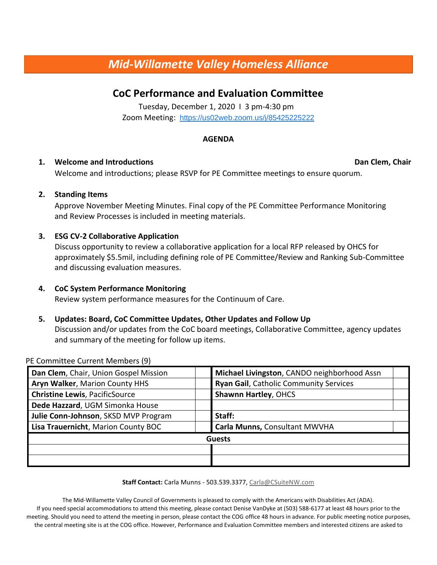# *Mid-Willamette Valley Homeless Alliance*

## **CoC Performance and Evaluation Committee**

Tuesday, December 1, 2020 I 3 pm-4:30 pm Zoom Meeting: <https://us02web.zoom.us/j/85425225222>

#### **AGENDA**

#### **1. Welcome and Introductions Constructions Constructions Dan Clem, Chair**

Welcome and introductions; please RSVP for PE Committee meetings to ensure quorum.

#### **2. Standing Items**

Approve November Meeting Minutes. Final copy of the PE Committee Performance Monitoring and Review Processes is included in meeting materials.

#### **3. ESG CV-2 Collaborative Application**

Discuss opportunity to review a collaborative application for a local RFP released by OHCS for approximately \$5.5mil, including defining role of PE Committee/Review and Ranking Sub-Committee and discussing evaluation measures.

### **4. CoC System Performance Monitoring**

Review system performance measures for the Continuum of Care.

#### **5. Updates: Board, CoC Committee Updates, Other Updates and Follow Up**

Discussion and/or updates from the CoC board meetings, Collaborative Committee, agency updates and summary of the meeting for follow up items.

PE Committee Current Members (9)

| Dan Clem, Chair, Union Gospel Mission | Michael Livingston, CANDO neighborhood Assn   |
|---------------------------------------|-----------------------------------------------|
| Aryn Walker, Marion County HHS        | <b>Ryan Gail, Catholic Community Services</b> |
| <b>Christine Lewis, PacificSource</b> | <b>Shawnn Hartley, OHCS</b>                   |
| Dede Hazzard, UGM Simonka House       |                                               |
| Julie Conn-Johnson, SKSD MVP Program  | Staff:                                        |
| Lisa Trauernicht, Marion County BOC   | Carla Munns, Consultant MWVHA                 |
| <b>Guests</b>                         |                                               |
|                                       |                                               |
|                                       |                                               |

**Staff Contact:** Carla Munns - 503.539.3377, Carla@CSuiteNW.com

The Mid-Willamette Valley Council of Governments is pleased to comply with the Americans with Disabilities Act (ADA). If you need special accommodations to attend this meeting, please contact Denise VanDyke at (503) 588-6177 at least 48 hours prior to the meeting. Should you need to attend the meeting in person, please contact the COG office 48 hours in advance. For public meeting notice purposes, the central meeting site is at the COG office. However, Performance and Evaluation Committee members and interested citizens are asked to